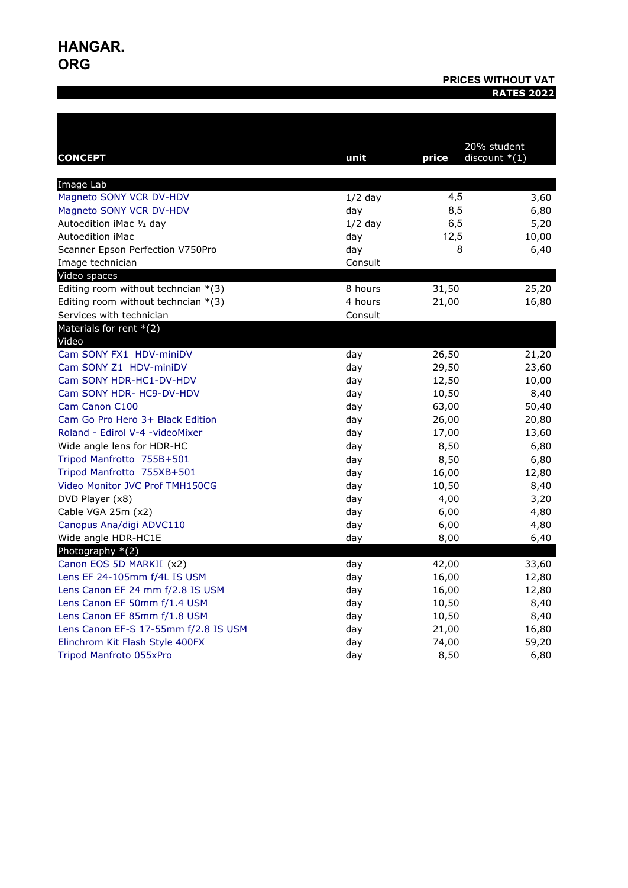# **HANGAR. ORG**

# **PRICES WITHOUT VAT RATES 2022**

|                                       |           | 20% student |                 |
|---------------------------------------|-----------|-------------|-----------------|
| <b>CONCEPT</b>                        | unit      | price       | discount $*(1)$ |
| Image Lab                             |           |             |                 |
| Magneto SONY VCR DV-HDV               | $1/2$ day | 4,5         | 3,60            |
| Magneto SONY VCR DV-HDV               | day       | 8,5         | 6,80            |
| Autoedition iMac 1/2 day              | $1/2$ day | 6,5         | 5,20            |
| <b>Autoedition iMac</b>               | day       | 12,5        | 10,00           |
| Scanner Epson Perfection V750Pro      | day       | 8           | 6,40            |
| Image technician                      | Consult   |             |                 |
| Video spaces                          |           |             |                 |
| Editing room without techncian $*(3)$ | 8 hours   | 31,50       | 25,20           |
| Editing room without techncian $*(3)$ | 4 hours   | 21,00       | 16,80           |
| Services with technician              | Consult   |             |                 |
| Materials for rent $*(2)$<br>Video    |           |             |                 |
| Cam SONY FX1 HDV-miniDV               | day       | 26,50       | 21,20           |
| Cam SONY Z1 HDV-miniDV                | day       | 29,50       | 23,60           |
| Cam SONY HDR-HC1-DV-HDV               | day       | 12,50       | 10,00           |
| Cam SONY HDR- HC9-DV-HDV              | day       | 10,50       | 8,40            |
| Cam Canon C100                        | day       | 63,00       | 50,40           |
| Cam Go Pro Hero 3+ Black Edition      | day       | 26,00       | 20,80           |
| Roland - Edirol V-4 - video Mixer     | day       | 17,00       | 13,60           |
| Wide angle lens for HDR-HC            | day       | 8,50        | 6,80            |
| Tripod Manfrotto 755B+501             | day       | 8,50        | 6,80            |
| Tripod Manfrotto 755XB+501            | day       | 16,00       | 12,80           |
| Video Monitor JVC Prof TMH150CG       | day       | 10,50       | 8,40            |
| DVD Player (x8)                       | day       | 4,00        | 3,20            |
| Cable VGA 25m (x2)                    | day       | 6,00        | 4,80            |
| Canopus Ana/digi ADVC110              | day       | 6,00        | 4,80            |
| Wide angle HDR-HC1E                   | day       | 8,00        | 6,40            |
| Photography *(2)                      |           |             |                 |
| Canon EOS 5D MARKII (x2)              | day       | 42,00       | 33,60           |
| Lens EF 24-105mm f/4L IS USM          | day       | 16,00       | 12,80           |
| Lens Canon EF 24 mm f/2.8 IS USM      | day       | 16,00       | 12,80           |
| Lens Canon EF 50mm f/1.4 USM          | day       | 10,50       | 8,40            |
| Lens Canon EF 85mm f/1.8 USM          | day       | 10,50       | 8,40            |
| Lens Canon EF-S 17-55mm f/2.8 IS USM  | day       | 21,00       | 16,80           |
| Elinchrom Kit Flash Style 400FX       | day       | 74,00       | 59,20           |
| <b>Tripod Manfroto 055xPro</b>        | day       | 8,50        | 6,80            |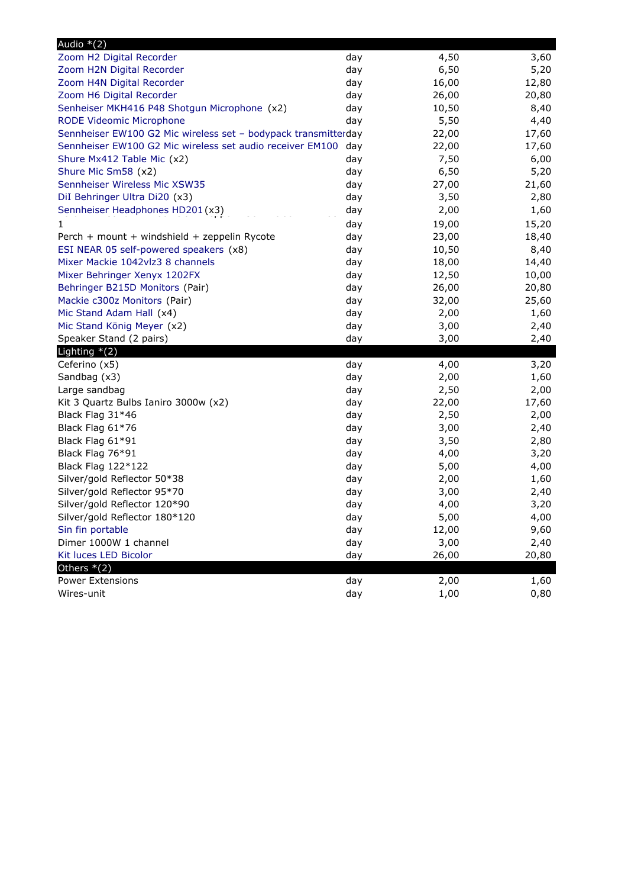| Audio $*(2)$                                                   |     |       |       |
|----------------------------------------------------------------|-----|-------|-------|
| Zoom H2 Digital Recorder                                       | day | 4,50  | 3,60  |
| Zoom H2N Digital Recorder                                      | day | 6,50  | 5,20  |
| Zoom H4N Digital Recorder                                      | day | 16,00 | 12,80 |
| Zoom H6 Digital Recorder                                       | day | 26,00 | 20,80 |
| Senheiser MKH416 P48 Shotgun Microphone (x2)                   | day | 10,50 | 8,40  |
| RODE Videomic Microphone                                       | day | 5,50  | 4,40  |
| Sennheiser EW100 G2 Mic wireless set - bodypack transmitterday |     | 22,00 | 17,60 |
| Sennheiser EW100 G2 Mic wireless set audio receiver EM100 day  |     | 22,00 | 17,60 |
| Shure Mx412 Table Mic (x2)                                     | day | 7,50  | 6,00  |
| Shure Mic Sm58 (x2)                                            | day | 6,50  | 5,20  |
| Sennheiser Wireless Mic XSW35                                  | day | 27,00 | 21,60 |
| DiI Behringer Ultra Di20 (x3)                                  | day | 3,50  | 2,80  |
| Sennheiser Headphones HD201(x3)                                | day | 2,00  | 1,60  |
|                                                                | day | 19,00 | 15,20 |
| Perch + mount + windshield + zeppelin Rycote                   | day | 23,00 | 18,40 |
| ESI NEAR 05 self-powered speakers (x8)                         | day | 10,50 | 8,40  |
| Mixer Mackie 1042vlz3 8 channels                               | day | 18,00 | 14,40 |
| Mixer Behringer Xenyx 1202FX                                   | day | 12,50 | 10,00 |
| Behringer B215D Monitors (Pair)                                | day | 26,00 | 20,80 |
| Mackie c300z Monitors (Pair)                                   | day | 32,00 | 25,60 |
| Mic Stand Adam Hall (x4)                                       | day | 2,00  | 1,60  |
| Mic Stand König Meyer (x2)                                     | day | 3,00  | 2,40  |
| Speaker Stand (2 pairs)                                        | day | 3,00  | 2,40  |
| Lighting $*(2)$                                                |     |       |       |
| Ceferino (x5)                                                  | day | 4,00  | 3,20  |
| Sandbag (x3)                                                   | day | 2,00  | 1,60  |
| Large sandbag                                                  | day | 2,50  | 2,00  |
| Kit 3 Quartz Bulbs Ianiro 3000w (x2)                           | day | 22,00 | 17,60 |
| Black Flag 31*46                                               | day | 2,50  | 2,00  |
| Black Flag 61*76                                               | day | 3,00  | 2,40  |
| Black Flag 61*91                                               | day | 3,50  | 2,80  |
| Black Flag 76*91                                               | day | 4,00  | 3,20  |
| Black Flag 122*122                                             | day | 5,00  | 4,00  |
| Silver/gold Reflector 50*38                                    | day | 2,00  | 1,60  |
| Silver/gold Reflector 95*70                                    | day | 3,00  | 2,40  |
| Silver/gold Reflector 120*90                                   | day | 4,00  | 3,20  |
| Silver/gold Reflector 180*120                                  | day | 5,00  | 4,00  |
| Sin fin portable                                               | day | 12,00 | 9,60  |
| Dimer 1000W 1 channel                                          | day | 3,00  | 2,40  |
| Kit luces LED Bicolor                                          | day | 26,00 | 20,80 |
| Others $*(2)$                                                  |     |       |       |
| Power Extensions                                               | day | 2,00  | 1,60  |
| Wires-unit                                                     | day | 1,00  | 0,80  |